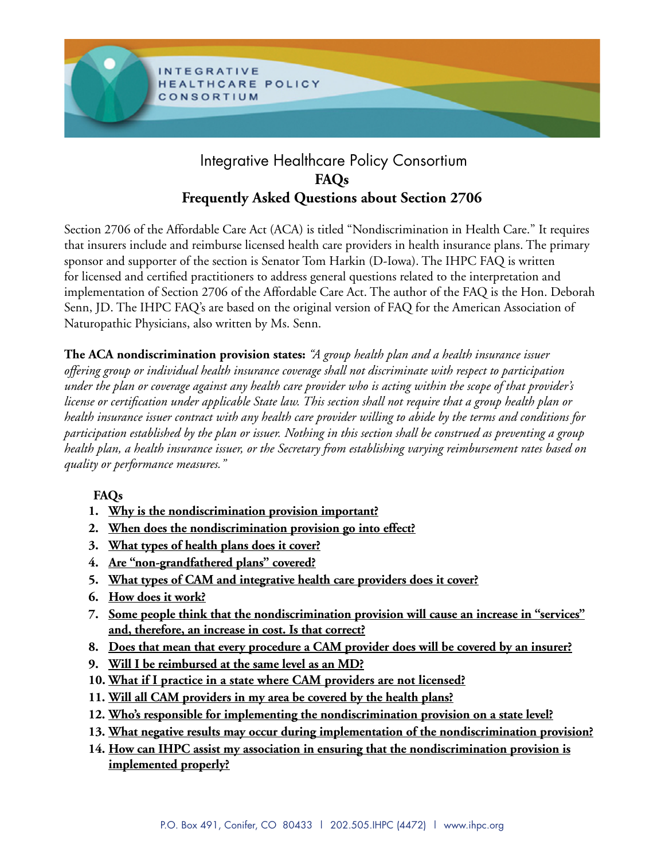

# Integrative Healthcare Policy Consortium **FAQs Frequently Asked Questions about Section 2706**

Section 2706 of the Affordable Care Act (ACA) is titled "Nondiscrimination in Health Care." It requires that insurers include and reimburse licensed health care providers in health insurance plans. The primary sponsor and supporter of the section is Senator Tom Harkin (D-Iowa). The IHPC FAQ is written for licensed and certified practitioners to address general questions related to the interpretation and implementation of Section 2706 of the Affordable Care Act. The author of the FAQ is the Hon. Deborah Senn, JD. The IHPC FAQ's are based on the original version of FAQ for the American Association of Naturopathic Physicians, also written by Ms. Senn.

**The ACA nondiscrimination provision states:** *"A group health plan and a health insurance issuer offering group or individual health insurance coverage shall not discriminate with respect to participation under the plan or coverage against any health care provider who is acting within the scope of that provider's license or certification under applicable State law. This section shall not require that a group health plan or health insurance issuer contract with any health care provider willing to abide by the terms and conditions for participation established by the plan or issuer. Nothing in this section shall be construed as preventing a group health plan, a health insurance issuer, or the Secretary from establishing varying reimbursement rates based on quality or performance measures."*

## **FAQs**

- **[1. Why is the nondiscrimination provision important?](#page-1-0)**
- **[2. When does the nondiscrimination provision go into effect?](#page-1-0)**
- **[3. What types of health plans does it cover?](#page-1-0)**
- **[4. Are "non-grandfathered plans" covered?](#page-1-0)**
- **[5. What types of CAM and integrative health care providers does it cover?](#page-1-0)**
- **[6. How does it work?](#page-1-0)**
- **7[. Some people think that the nondiscrimination provision will cause an increase in "services"](#page-2-0) [and, therefore, an increase in cost. Is that correct?](#page-2-0)**
- **8[. Does that mean that every procedure a CAM provider does will be covered by an insurer?](#page-2-0)**
- **9[. Will I be reimbursed at the same level as an MD?](#page-2-0)**
- **[10. What if I practice in a state where CAM providers are not licensed?](#page-2-0)**
- **11[. Will all CAM providers in my area be covered by the health plans?](#page-3-0)**
- **[12. Who's responsible for implementing the nondiscrimination provision on a state level?](#page-3-0)**
- **[13. What negative results may occur during implementation of the nondiscrimination provision?](#page-3-0)**
- **[14. How can IHPC assist my association in ensuring that the nondiscrimination provision is](#page-3-0) [implemented properly?](#page-3-0)**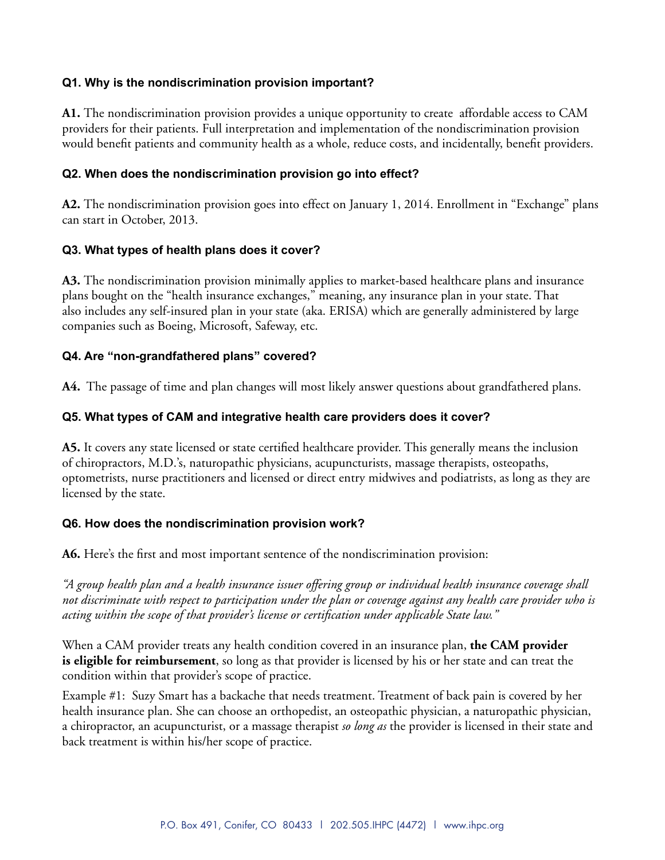### <span id="page-1-0"></span>**Q1. Why is the nondiscrimination provision important?**

**A1.** The nondiscrimination provision provides a unique opportunity to create affordable access to CAM providers for their patients. Full interpretation and implementation of the nondiscrimination provision would benefit patients and community health as a whole, reduce costs, and incidentally, benefit providers.

#### **Q2. When does the nondiscrimination provision go into effect?**

**A2.** The nondiscrimination provision goes into effect on January 1, 2014. Enrollment in "Exchange" plans can start in October, 2013.

#### **Q3. What types of health plans does it cover?**

**A3.** The nondiscrimination provision minimally applies to market-based healthcare plans and insurance plans bought on the "health insurance exchanges," meaning, any insurance plan in your state. That also includes any self-insured plan in your state (aka. ERISA) which are generally administered by large companies such as Boeing, Microsoft, Safeway, etc.

#### **Q4. Are "non-grandfathered plans" covered?**

**A4.** The passage of time and plan changes will most likely answer questions about grandfathered plans.

#### **Q5. What types of CAM and integrative health care providers does it cover?**

**A5.** It covers any state licensed or state certified healthcare provider. This generally means the inclusion of chiropractors, M.D.'s, naturopathic physicians, acupuncturists, massage therapists, osteopaths, optometrists, nurse practitioners and licensed or direct entry midwives and podiatrists, as long as they are licensed by the state.

#### **Q6. How does the nondiscrimination provision work?**

**A6.** Here's the first and most important sentence of the nondiscrimination provision:

*"A group health plan and a health insurance issuer offering group or individual health insurance coverage shall not discriminate with respect to participation under the plan or coverage against any health care provider who is acting within the scope of that provider's license or certification under applicable State law."*

When a CAM provider treats any health condition covered in an insurance plan, **the CAM provider is eligible for reimbursement**, so long as that provider is licensed by his or her state and can treat the condition within that provider's scope of practice.

Example #1: Suzy Smart has a backache that needs treatment. Treatment of back pain is covered by her health insurance plan. She can choose an orthopedist, an osteopathic physician, a naturopathic physician, a chiropractor, an acupuncturist, or a massage therapist *so long as* the provider is licensed in their state and back treatment is within his/her scope of practice.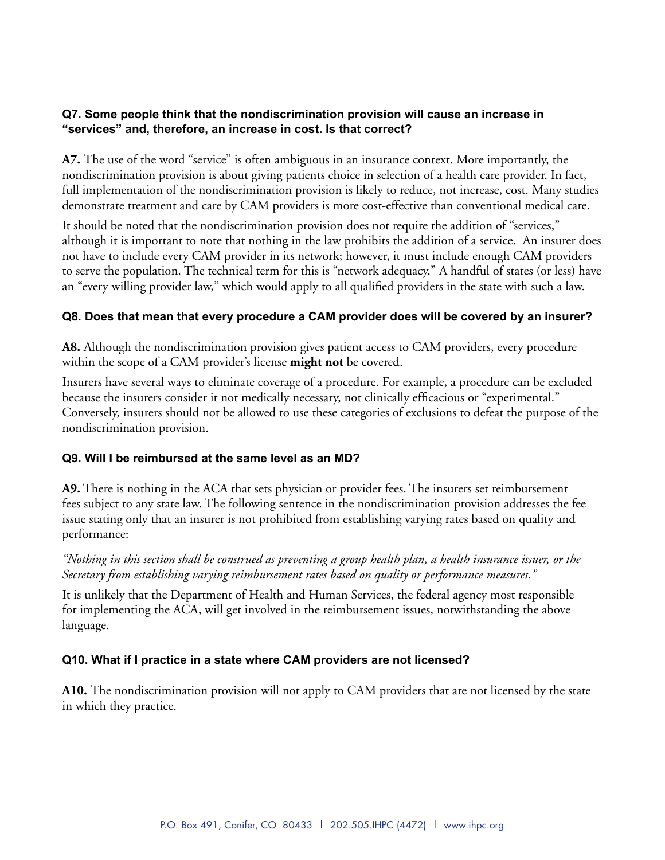### <span id="page-2-0"></span>**Q7. Some people think that the nondiscrimination provision will cause an increase in "services" and, therefore, an increase in cost. Is that correct?**

**A7.** The use of the word "service" is often ambiguous in an insurance context. More importantly, the nondiscrimination provision is about giving patients choice in selection of a health care provider. In fact, full implementation of the nondiscrimination provision is likely to reduce, not increase, cost. Many studies demonstrate treatment and care by CAM providers is more cost-effective than conventional medical care.

It should be noted that the nondiscrimination provision does not require the addition of "services," although it is important to note that nothing in the law prohibits the addition of a service. An insurer does not have to include every CAM provider in its network; however, it must include enough CAM providers to serve the population. The technical term for this is "network adequacy." A handful of states (or less) have an "every willing provider law," which would apply to all qualified providers in the state with such a law.

### **Q8. Does that mean that every procedure a CAM provider does will be covered by an insurer?**

**A8.** Although the nondiscrimination provision gives patient access to CAM providers, every procedure within the scope of a CAM provider's license **might not** be covered.

Insurers have several ways to eliminate coverage of a procedure. For example, a procedure can be excluded because the insurers consider it not medically necessary, not clinically efficacious or "experimental." Conversely, insurers should not be allowed to use these categories of exclusions to defeat the purpose of the nondiscrimination provision.

#### **Q9. Will I be reimbursed at the same level as an MD?**

**A9.** There is nothing in the ACA that sets physician or provider fees. The insurers set reimbursement fees subject to any state law. The following sentence in the nondiscrimination provision addresses the fee issue stating only that an insurer is not prohibited from establishing varying rates based on quality and performance:

*"Nothing in this section shall be construed as preventing a group health plan, a health insurance issuer, or the Secretary from establishing varying reimbursement rates based on quality or performance measures."*

It is unlikely that the Department of Health and Human Services, the federal agency most responsible for implementing the ACA, will get involved in the reimbursement issues, notwithstanding the above language.

### **Q10. What if I practice in a state where CAM providers are not licensed?**

**A10.** The nondiscrimination provision will not apply to CAM providers that are not licensed by the state in which they practice.